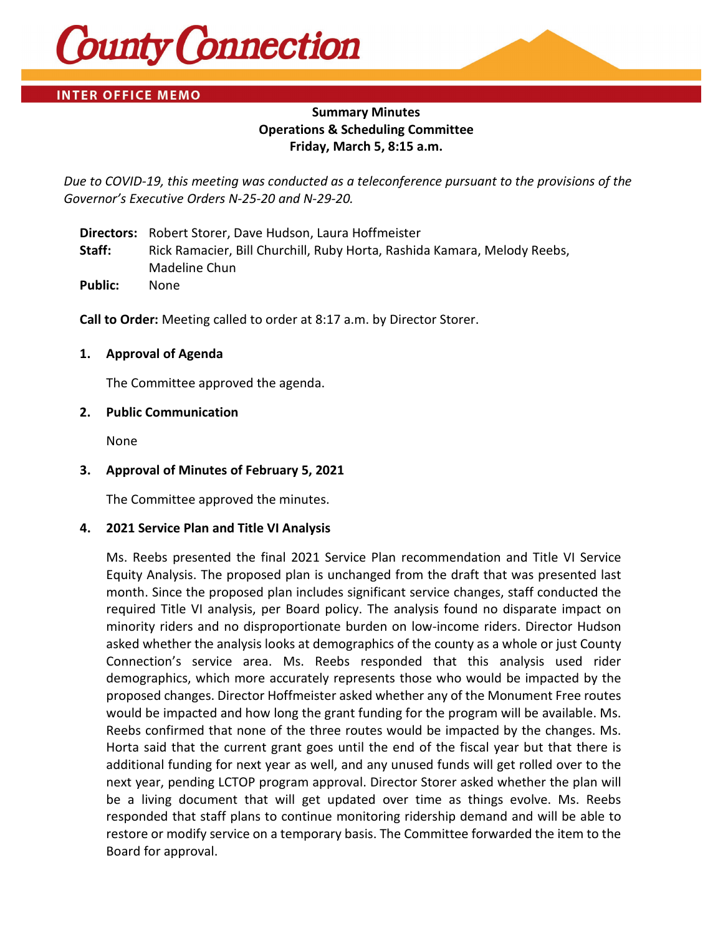

# **INTER OFFICE MEMO**

# **Summary Minutes Operations & Scheduling Committee Friday, March 5, 8:15 a.m.**

*Due to COVID-19, this meeting was conducted as a teleconference pursuant to the provisions of the Governor's Executive Orders N-25-20 and N-29-20.*

**Directors:** Robert Storer, Dave Hudson, Laura Hoffmeister **Staff:** Rick Ramacier, Bill Churchill, Ruby Horta, Rashida Kamara, Melody Reebs, Madeline Chun **Public:** None

**Call to Order:** Meeting called to order at 8:17 a.m. by Director Storer.

# **1. Approval of Agenda**

The Committee approved the agenda.

# **2. Public Communication**

None

# **3. Approval of Minutes of February 5, 2021**

The Committee approved the minutes.

#### **4. 2021 Service Plan and Title VI Analysis**

Ms. Reebs presented the final 2021 Service Plan recommendation and Title VI Service Equity Analysis. The proposed plan is unchanged from the draft that was presented last month. Since the proposed plan includes significant service changes, staff conducted the required Title VI analysis, per Board policy. The analysis found no disparate impact on minority riders and no disproportionate burden on low-income riders. Director Hudson asked whether the analysis looks at demographics of the county as a whole or just County Connection's service area. Ms. Reebs responded that this analysis used rider demographics, which more accurately represents those who would be impacted by the proposed changes. Director Hoffmeister asked whether any of the Monument Free routes would be impacted and how long the grant funding for the program will be available. Ms. Reebs confirmed that none of the three routes would be impacted by the changes. Ms. Horta said that the current grant goes until the end of the fiscal year but that there is additional funding for next year as well, and any unused funds will get rolled over to the next year, pending LCTOP program approval. Director Storer asked whether the plan will be a living document that will get updated over time as things evolve. Ms. Reebs responded that staff plans to continue monitoring ridership demand and will be able to restore or modify service on a temporary basis. The Committee forwarded the item to the Board for approval.